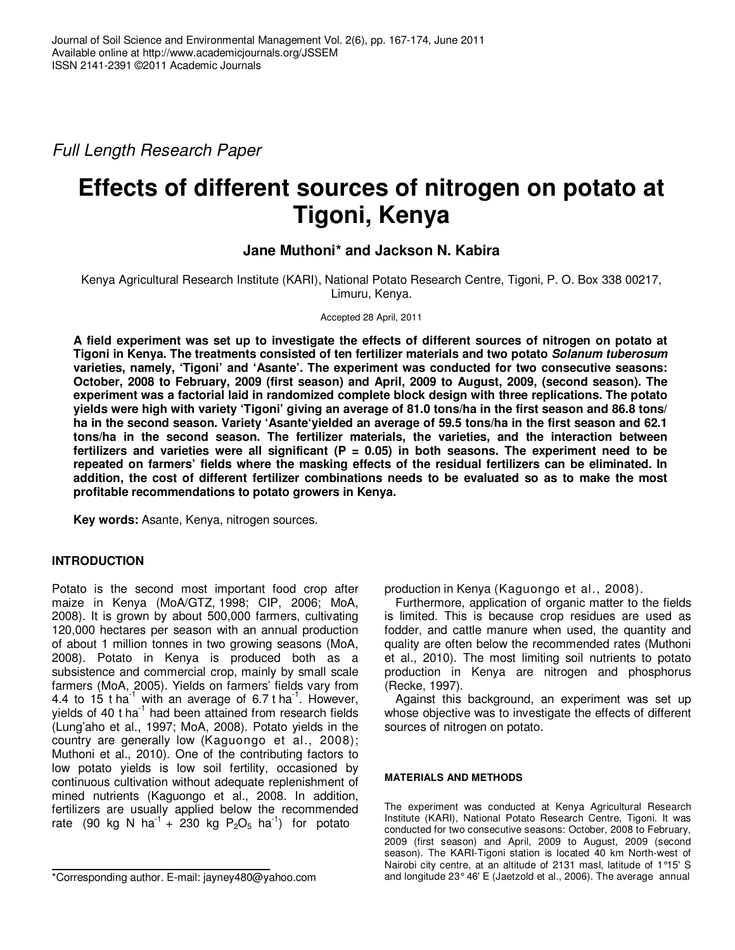Full Length Research Paper

# **Effects of different sources of nitrogen on potato at Tigoni, Kenya**

# **Jane Muthoni\* and Jackson N. Kabira**

Kenya Agricultural Research Institute (KARI), National Potato Research Centre, Tigoni, P. O. Box 338 00217, Limuru, Kenya.

Accepted 28 April, 2011

**A field experiment was set up to investigate the effects of different sources of nitrogen on potato at Tigoni in Kenya. The treatments consisted of ten fertilizer materials and two potato Solanum tuberosum varieties, namely, 'Tigoni' and 'Asante'. The experiment was conducted for two consecutive seasons: October, 2008 to February, 2009 (first season) and April, 2009 to August, 2009, (second season). The experiment was a factorial laid in randomized complete block design with three replications. The potato yields were high with variety 'Tigoni' giving an average of 81.0 tons/ha in the first season and 86.8 tons/ ha in the second season. Variety 'Asante'yielded an average of 59.5 tons/ha in the first season and 62.1 tons/ha in the second season. The fertilizer materials, the varieties, and the interaction between fertilizers and varieties were all significant (P = 0.05) in both seasons. The experiment need to be repeated on farmers' fields where the masking effects of the residual fertilizers can be eliminated. In addition, the cost of different fertilizer combinations needs to be evaluated so as to make the most profitable recommendations to potato growers in Kenya.** 

**Key words:** Asante, Kenya, nitrogen sources.

# **INTRODUCTION**

Potato is the second most important food crop after maize in Kenya (MoA/GTZ, 1998; CIP, 2006; MoA, 2008). It is grown by about 500,000 farmers, cultivating 120,000 hectares per season with an annual production of about 1 million tonnes in two growing seasons (MoA, 2008). Potato in Kenya is produced both as a subsistence and commercial crop, mainly by small scale farmers (MoA, 2005). Yields on farmers' fields vary from 4.4 to 15 t ha<sup>-1</sup> with an average of 6.7 t ha<sup>-1</sup>. However, yields of 40  $t$  ha<sup>-1</sup> had been attained from research fields (Lung'aho et al., 1997; MoA, 2008). Potato yields in the country are generally low (Kaguongo et al., 2008); Muthoni et al., 2010). One of the contributing factors to low potato yields is low soil fertility, occasioned by continuous cultivation without adequate replenishment of mined nutrients (Kaguongo et al., 2008. In addition, fertilizers are usually applied below the recommended rate (90 kg N ha<sup>-1</sup> + 230 kg P<sub>2</sub>O<sub>5</sub> ha<sup>-1</sup>) for potato

production in Kenya (Kaguongo et al., 2008).

Furthermore, application of organic matter to the fields is limited. This is because crop residues are used as fodder, and cattle manure when used, the quantity and quality are often below the recommended rates (Muthoni et al., 2010). The most limiting soil nutrients to potato production in Kenya are nitrogen and phosphorus (Recke, 1997).

Against this background, an experiment was set up whose objective was to investigate the effects of different sources of nitrogen on potato.

## **MATERIALS AND METHODS**

The experiment was conducted at Kenya Agricultural Research Institute (KARI), National Potato Research Centre, Tigoni. It was conducted for two consecutive seasons: October, 2008 to February, 2009 (first season) and April, 2009 to August, 2009 (second season). The KARI-Tigoni station is located 40 km North-west of Nairobi city centre, at an altitude of 2131 masl, latitude of 1°15' S and longitude 23° 46' E (Jaetzold et al., 2006). The average annual

<sup>\*</sup>Corresponding author. E-mail: jayney480@yahoo.com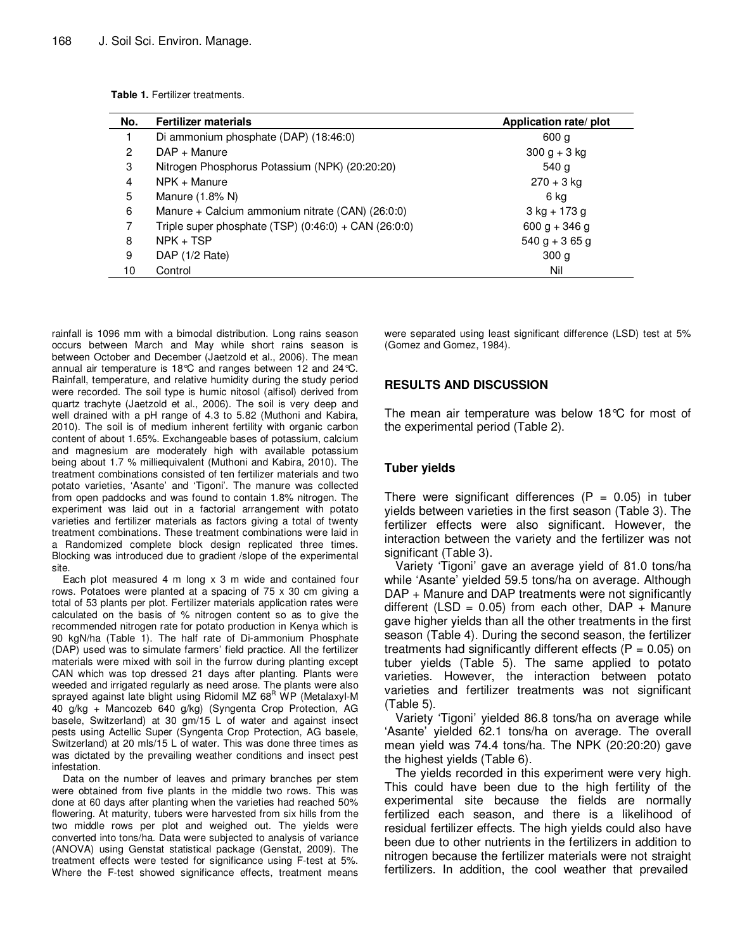| No. | <b>Fertilizer materials</b>                                | Application rate/ plot |
|-----|------------------------------------------------------------|------------------------|
|     | Di ammonium phosphate (DAP) (18:46:0)                      | 600 g                  |
| 2   | $DAP + Manuel$                                             | $300 g + 3 kg$         |
| 3   | Nitrogen Phosphorus Potassium (NPK) (20:20:20)             | 540 g                  |
| 4   | NPK + Manure                                               | $270 + 3$ kg           |
| 5   | Manure (1.8% N)                                            | 6 ka                   |
| 6   | Manure + Calcium ammonium nitrate (CAN) (26:0:0)           | $3$ kg + 173 g         |
| 7   | Triple super phosphate $(TSP)$ $(0:46:0) + CAN$ $(26:0:0)$ | $600 g + 346 g$        |
| 8   | $NPK + TSP$                                                | $540 g + 365 g$        |
| 9   | DAP (1/2 Rate)                                             | 300 <sub>g</sub>       |
| 10  | Control                                                    | Nil                    |

rainfall is 1096 mm with a bimodal distribution. Long rains season occurs between March and May while short rains season is between October and December (Jaetzold et al., 2006). The mean annual air temperature is 18°C and ranges between 12 and 24°C. Rainfall, temperature, and relative humidity during the study period were recorded. The soil type is humic nitosol (alfisol) derived from quartz trachyte (Jaetzold et al., 2006). The soil is very deep and well drained with a pH range of 4.3 to 5.82 (Muthoni and Kabira, 2010). The soil is of medium inherent fertility with organic carbon content of about 1.65%. Exchangeable bases of potassium, calcium and magnesium are moderately high with available potassium being about 1.7 % milliequivalent (Muthoni and Kabira, 2010). The treatment combinations consisted of ten fertilizer materials and two potato varieties, 'Asante' and 'Tigoni'. The manure was collected from open paddocks and was found to contain 1.8% nitrogen. The experiment was laid out in a factorial arrangement with potato varieties and fertilizer materials as factors giving a total of twenty treatment combinations. These treatment combinations were laid in a Randomized complete block design replicated three times. Blocking was introduced due to gradient /slope of the experimental site.

Each plot measured 4 m long x 3 m wide and contained four rows. Potatoes were planted at a spacing of 75 x 30 cm giving a total of 53 plants per plot. Fertilizer materials application rates were calculated on the basis of % nitrogen content so as to give the recommended nitrogen rate for potato production in Kenya which is 90 kgN/ha (Table 1). The half rate of Di-ammonium Phosphate (DAP) used was to simulate farmers' field practice. All the fertilizer materials were mixed with soil in the furrow during planting except CAN which was top dressed 21 days after planting. Plants were weeded and irrigated regularly as need arose. The plants were also sprayed against late blight using Ridomil MZ 68<sup>R</sup> WP (Metalaxyl-M 40 g/kg + Mancozeb 640 g/kg) (Syngenta Crop Protection, AG basele, Switzerland) at 30 gm/15 L of water and against insect pests using Actellic Super (Syngenta Crop Protection, AG basele, Switzerland) at 20 mls/15 L of water. This was done three times as was dictated by the prevailing weather conditions and insect pest infestation.

Data on the number of leaves and primary branches per stem were obtained from five plants in the middle two rows. This was done at 60 days after planting when the varieties had reached 50% flowering. At maturity, tubers were harvested from six hills from the two middle rows per plot and weighed out. The yields were converted into tons/ha. Data were subjected to analysis of variance (ANOVA) using Genstat statistical package (Genstat, 2009). The treatment effects were tested for significance using F-test at 5%. Where the F-test showed significance effects, treatment means were separated using least significant difference (LSD) test at 5% (Gomez and Gomez, 1984).

#### **RESULTS AND DISCUSSION**

The mean air temperature was below 18°C for most of the experimental period (Table 2).

## **Tuber yields**

There were significant differences ( $P = 0.05$ ) in tuber yields between varieties in the first season (Table 3). The fertilizer effects were also significant. However, the interaction between the variety and the fertilizer was not significant (Table 3).

Variety 'Tigoni' gave an average yield of 81.0 tons/ha while 'Asante' yielded 59.5 tons/ha on average. Although DAP + Manure and DAP treatments were not significantly different (LSD =  $0.05$ ) from each other, DAP + Manure gave higher yields than all the other treatments in the first season (Table 4). During the second season, the fertilizer treatments had significantly different effects ( $P = 0.05$ ) on tuber yields (Table 5). The same applied to potato varieties. However, the interaction between potato varieties and fertilizer treatments was not significant (Table 5).

Variety 'Tigoni' yielded 86.8 tons/ha on average while 'Asante' yielded 62.1 tons/ha on average. The overall mean yield was 74.4 tons/ha. The NPK (20:20:20) gave the highest yields (Table 6).

The yields recorded in this experiment were very high. This could have been due to the high fertility of the experimental site because the fields are normally fertilized each season, and there is a likelihood of residual fertilizer effects. The high yields could also have been due to other nutrients in the fertilizers in addition to nitrogen because the fertilizer materials were not straight fertilizers. In addition, the cool weather that prevailed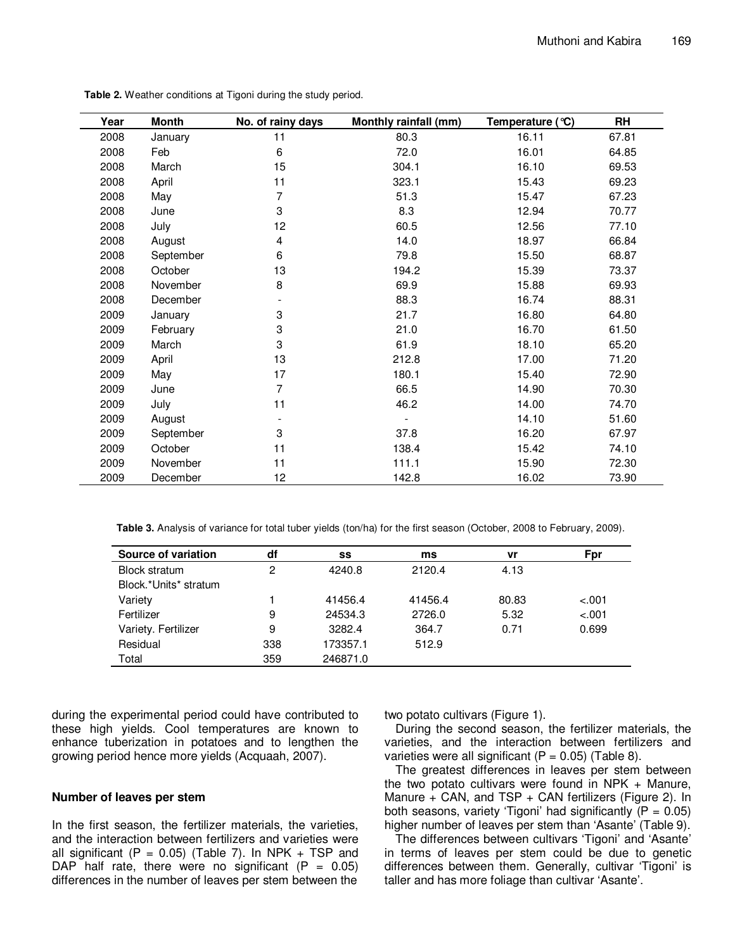| Year | Month     | No. of rainy days | Monthly rainfall (mm) | Temperature $(°C)$ | <b>RH</b> |
|------|-----------|-------------------|-----------------------|--------------------|-----------|
| 2008 | January   | 11                | 80.3                  | 16.11              | 67.81     |
| 2008 | Feb       | 6                 | 72.0                  | 16.01              | 64.85     |
| 2008 | March     | 15                | 304.1                 | 16.10              | 69.53     |
| 2008 | April     | 11                | 323.1                 | 15.43              | 69.23     |
| 2008 | May       | 7                 | 51.3                  | 15.47              | 67.23     |
| 2008 | June      | 3                 | 8.3                   | 12.94              | 70.77     |
| 2008 | July      | 12                | 60.5                  | 12.56              | 77.10     |
| 2008 | August    | 4                 | 14.0                  | 18.97              | 66.84     |
| 2008 | September | 6                 | 79.8                  | 15.50              | 68.87     |
| 2008 | October   | 13                | 194.2                 | 15.39              | 73.37     |
| 2008 | November  | 8                 | 69.9                  | 15.88              | 69.93     |
| 2008 | December  |                   | 88.3                  | 16.74              | 88.31     |
| 2009 | January   | 3                 | 21.7                  | 16.80              | 64.80     |
| 2009 | February  | 3                 | 21.0                  | 16.70              | 61.50     |
| 2009 | March     | 3                 | 61.9                  | 18.10              | 65.20     |
| 2009 | April     | 13                | 212.8                 | 17.00              | 71.20     |
| 2009 | May       | 17                | 180.1                 | 15.40              | 72.90     |
| 2009 | June      | 7                 | 66.5                  | 14.90              | 70.30     |
| 2009 | July      | 11                | 46.2                  | 14.00              | 74.70     |
| 2009 | August    |                   |                       | 14.10              | 51.60     |
| 2009 | September | 3                 | 37.8                  | 16.20              | 67.97     |
| 2009 | October   | 11                | 138.4                 | 15.42              | 74.10     |
| 2009 | November  | 11                | 111.1                 | 15.90              | 72.30     |
| 2009 | December  | 12                | 142.8                 | 16.02              | 73.90     |

**Table 2.** Weather conditions at Tigoni during the study period.

**Table 3.** Analysis of variance for total tuber yields (ton/ha) for the first season (October, 2008 to February, 2009).

| Source of variation   | df  | SS       | ms      | vr    | Fpr     |
|-----------------------|-----|----------|---------|-------|---------|
| <b>Block stratum</b>  | 2   | 4240.8   | 2120.4  | 4.13  |         |
| Block.*Units* stratum |     |          |         |       |         |
| Variety               |     | 41456.4  | 41456.4 | 80.83 | $-.001$ |
| Fertilizer            | 9   | 24534.3  | 2726.0  | 5.32  | $-.001$ |
| Variety. Fertilizer   | 9   | 3282.4   | 364.7   | 0.71  | 0.699   |
| Residual              | 338 | 173357.1 | 512.9   |       |         |
| Total                 | 359 | 246871.0 |         |       |         |

during the experimental period could have contributed to these high yields. Cool temperatures are known to enhance tuberization in potatoes and to lengthen the growing period hence more yields (Acquaah, 2007).

#### **Number of leaves per stem**

In the first season, the fertilizer materials, the varieties, and the interaction between fertilizers and varieties were all significant (P =  $0.05$ ) (Table 7). In NPK + TSP and DAP half rate, there were no significant  $(P = 0.05)$ differences in the number of leaves per stem between the

two potato cultivars (Figure 1).

During the second season, the fertilizer materials, the varieties, and the interaction between fertilizers and varieties were all significant  $(P = 0.05)$  (Table 8).

The greatest differences in leaves per stem between the two potato cultivars were found in NPK  $+$  Manure, Manure + CAN, and TSP + CAN fertilizers (Figure 2). In both seasons, variety 'Tigoni' had significantly  $(P = 0.05)$ higher number of leaves per stem than 'Asante' (Table 9).

The differences between cultivars 'Tigoni' and 'Asante' in terms of leaves per stem could be due to genetic differences between them. Generally, cultivar 'Tigoni' is taller and has more foliage than cultivar 'Asante'.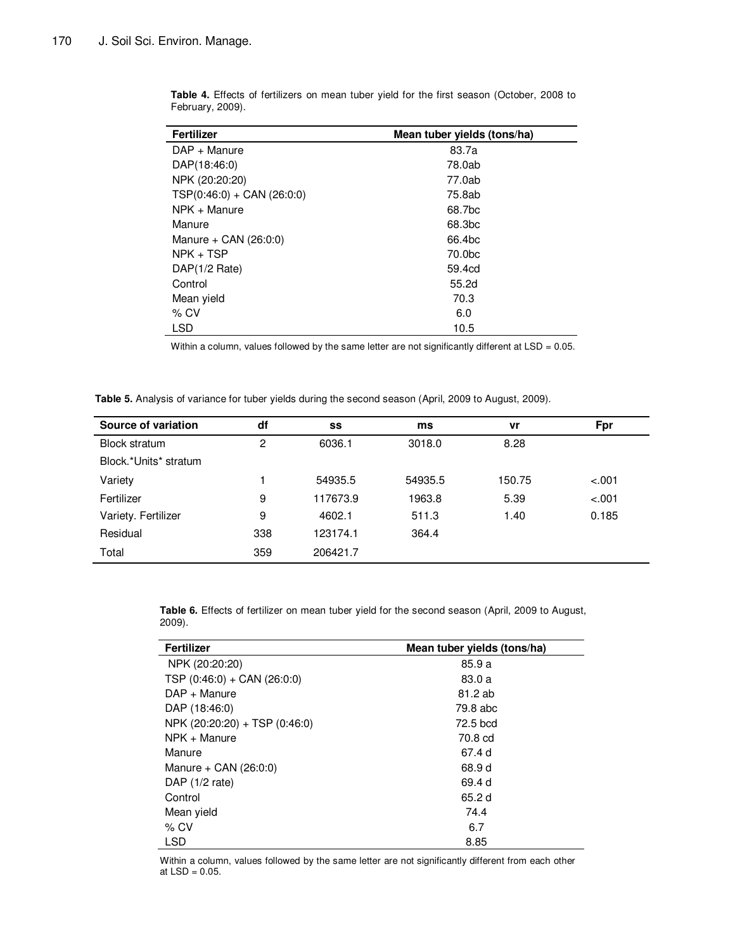| <b>Fertilizer</b>            | Mean tuber vields (tons/ha) |
|------------------------------|-----------------------------|
| $DAP + Manuel$               | 83.7a                       |
| DAP(18:46:0)                 | 78.0ab                      |
| NPK (20:20:20)               | 77.0ab                      |
| $TSP(0:46:0) + CAN (26:0:0)$ | 75.8ab                      |
| NPK + Manure                 | 68.7bc                      |
| Manure                       | 68.3 <sub>bc</sub>          |
| Manure + $CAN$ ( $26:0:0$ )  | 66.4 <sub>bc</sub>          |
| $NPK + TSP$                  | 70.0 <sub>bc</sub>          |
| DAP(1/2 Rate)                | 59.4cd                      |
| Control                      | 55.2d                       |
| Mean yield                   | 70.3                        |
| $%$ CV                       | 6.0                         |
| <b>LSD</b>                   | 10.5                        |

**Table 4.** Effects of fertilizers on mean tuber yield for the first season (October, 2008 to February, 2009).

Within a column, values followed by the same letter are not significantly different at LSD = 0.05.

Table 5. Analysis of variance for tuber yields during the second season (April, 2009 to August, 2009).

| Source of variation   | df  | SS       | ms      | vr     | Fpr     |
|-----------------------|-----|----------|---------|--------|---------|
| <b>Block stratum</b>  | 2   | 6036.1   | 3018.0  | 8.28   |         |
| Block.*Units* stratum |     |          |         |        |         |
| Variety               |     | 54935.5  | 54935.5 | 150.75 | $-.001$ |
| Fertilizer            | 9   | 117673.9 | 1963.8  | 5.39   | $-.001$ |
| Variety. Fertilizer   | 9   | 4602.1   | 511.3   | 1.40   | 0.185   |
| Residual              | 338 | 123174.1 | 364.4   |        |         |
| Total                 | 359 | 206421.7 |         |        |         |

**Table 6.** Effects of fertilizer on mean tuber yield for the second season (April, 2009 to August, 2009).

| <b>Fertilizer</b>             | Mean tuber yields (tons/ha) |
|-------------------------------|-----------------------------|
| NPK (20:20:20)                | 85.9 a                      |
| TSP $(0:46:0) + CAN (26:0:0)$ | 83.0 a                      |
| DAP + Manure                  | 81.2 ab                     |
| DAP (18:46:0)                 | 79.8 abc                    |
| NPK (20:20:20) + TSP (0:46:0) | 72.5 bcd                    |
| NPK + Manure                  | 70.8 cd                     |
| Manure                        | 67.4 d                      |
| Manure + $CAN (26:0:0)$       | 68.9 d                      |
| DAP $(1/2$ rate)              | 69.4 d                      |
| Control                       | 65.2 d                      |
| Mean yield                    | 74.4                        |
| $%$ CV                        | 6.7                         |
| <b>LSD</b>                    | 8.85                        |

Within a column, values followed by the same letter are not significantly different from each other at  $LSD = 0.05$ .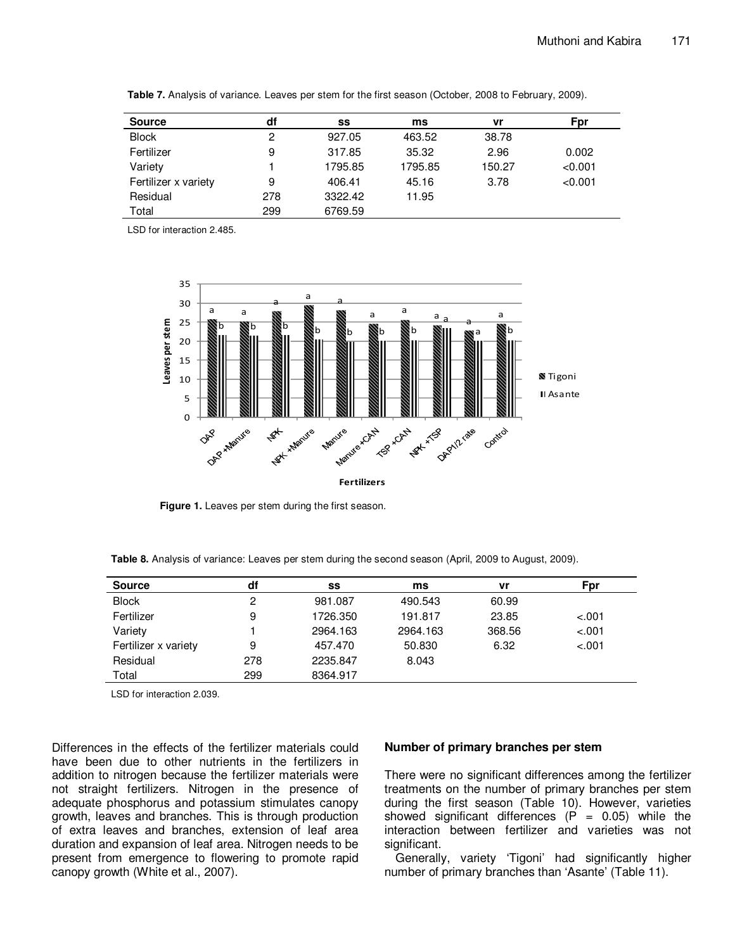| <b>Source</b>        | df             | SS      | ms      | vr     | Fpr     |
|----------------------|----------------|---------|---------|--------|---------|
| <b>Block</b>         | $\overline{c}$ | 927.05  | 463.52  | 38.78  |         |
| Fertilizer           | 9              | 317.85  | 35.32   | 2.96   | 0.002   |
| Variety              |                | 1795.85 | 1795.85 | 150.27 | < 0.001 |
| Fertilizer x variety | 9              | 406.41  | 45.16   | 3.78   | < 0.001 |
| Residual             | 278            | 3322.42 | 11.95   |        |         |
| Total                | 299            | 6769.59 |         |        |         |

**Table 7.** Analysis of variance. Leaves per stem for the first season (October, 2008 to February, 2009).

LSD for interaction 2.485.



**Figure 1.** Leaves per stem during the first season.

**Table 8.** Analysis of variance: Leaves per stem during the second season (April, 2009 to August, 2009).

| <b>Source</b>        | df  | SS       | ms       | vr     | Fpr     |
|----------------------|-----|----------|----------|--------|---------|
| <b>Block</b>         | 2   | 981.087  | 490.543  | 60.99  |         |
| Fertilizer           | 9   | 1726.350 | 191.817  | 23.85  | $-.001$ |
| Variety              |     | 2964.163 | 2964.163 | 368.56 | $-.001$ |
| Fertilizer x variety | 9   | 457.470  | 50.830   | 6.32   | $-.001$ |
| Residual             | 278 | 2235.847 | 8.043    |        |         |
| Total                | 299 | 8364.917 |          |        |         |

LSD for interaction 2.039.

Differences in the effects of the fertilizer materials could have been due to other nutrients in the fertilizers in addition to nitrogen because the fertilizer materials were not straight fertilizers. Nitrogen in the presence of adequate phosphorus and potassium stimulates canopy growth, leaves and branches. This is through production of extra leaves and branches, extension of leaf area duration and expansion of leaf area. Nitrogen needs to be present from emergence to flowering to promote rapid canopy growth (White et al., 2007).

#### **Number of primary branches per stem**

There were no significant differences among the fertilizer treatments on the number of primary branches per stem during the first season (Table 10). However, varieties showed significant differences  $(P = 0.05)$  while the interaction between fertilizer and varieties was not significant.

Generally, variety 'Tigoni' had significantly higher number of primary branches than 'Asante' (Table 11).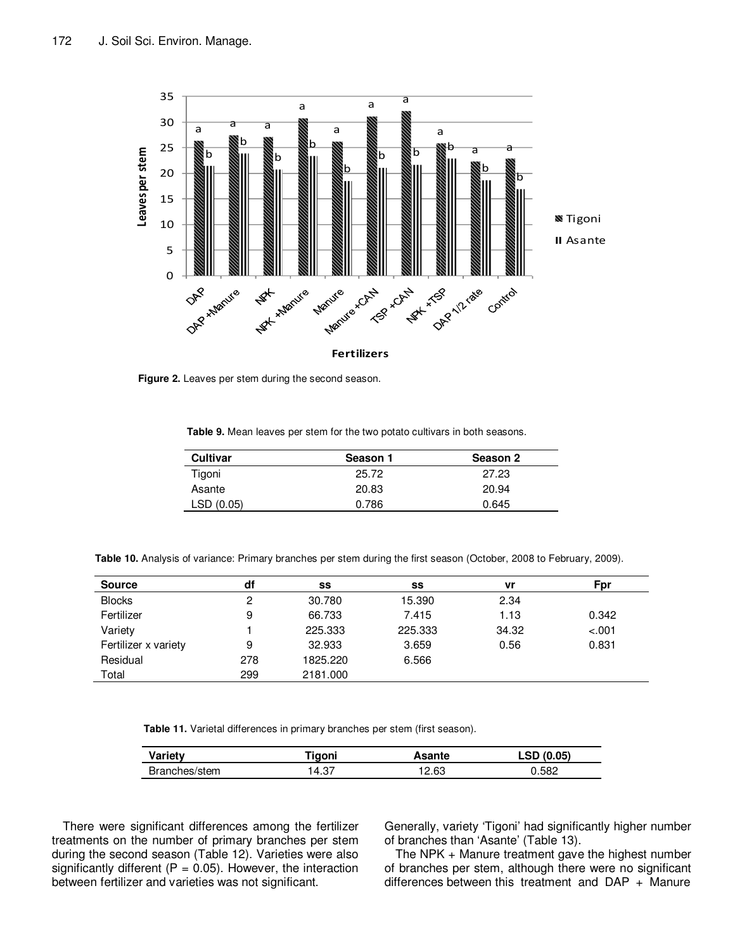

**Figure 2.** Leaves per stem during the second season.

**Table 9.** Mean leaves per stem for the two potato cultivars in both seasons.

| <b>Cultivar</b> | Season 1 | Season 2 |
|-----------------|----------|----------|
| Tigoni          | 25.72    | 27.23    |
| Asante          | 20.83    | 20.94    |
| LSD(0.05)       | 0.786    | 0.645    |

**Table 10.** Analysis of variance: Primary branches per stem during the first season (October, 2008 to February, 2009).

| <b>Source</b>        | df  | SS       | SS      | vr    | Fpr     |
|----------------------|-----|----------|---------|-------|---------|
| <b>Blocks</b>        | 2   | 30.780   | 15.390  | 2.34  |         |
| Fertilizer           | 9   | 66.733   | 7.415   | 1.13  | 0.342   |
| Variety              |     | 225.333  | 225.333 | 34.32 | $-.001$ |
| Fertilizer x variety | 9   | 32.933   | 3.659   | 0.56  | 0.831   |
| Residual             | 278 | 1825.220 | 6.566   |       |         |
| Total                | 299 | 2181.000 |         |       |         |

**Table 11.** Varietal differences in primary branches per stem (first season).

| Variety        | .            | Asante | /ሰ ሰ5ነ     |
|----------------|--------------|--------|------------|
| /stem<br>∍ ∩מר | רפ<br>י ט. ד | 12.63  | <b>SRC</b> |

There were significant differences among the fertilizer treatments on the number of primary branches per stem during the second season (Table 12). Varieties were also significantly different ( $P = 0.05$ ). However, the interaction between fertilizer and varieties was not significant.

Generally, variety 'Tigoni' had significantly higher number of branches than 'Asante' (Table 13).

The NPK + Manure treatment gave the highest number of branches per stem, although there were no significant differences between this treatment and DAP + Manure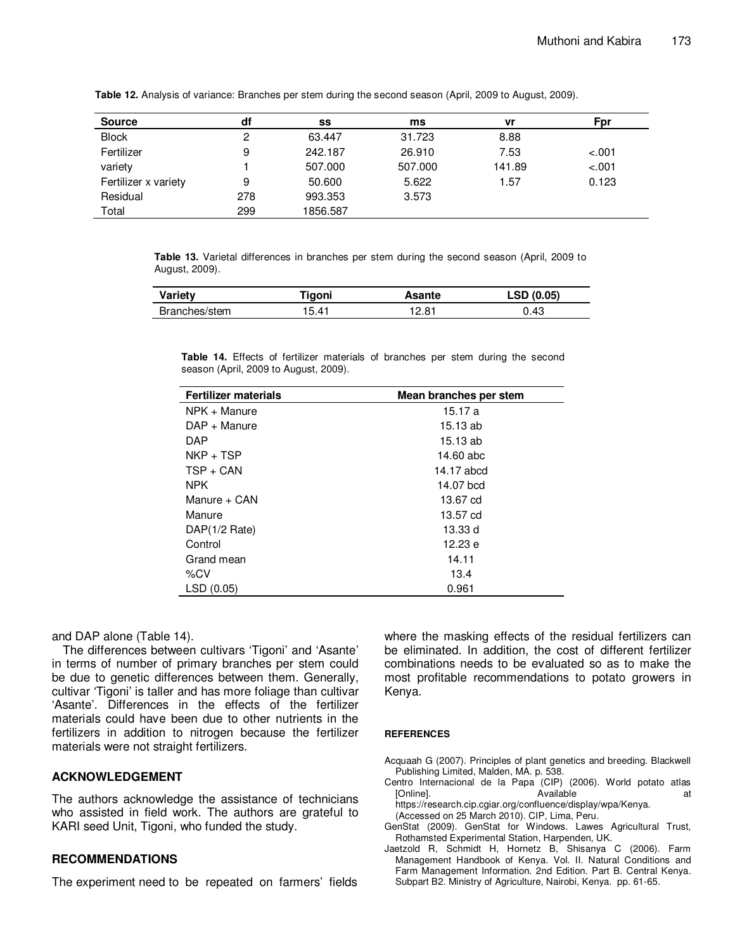| <b>Source</b>        | df  | SS       | ms      | vr     | Fpr     |
|----------------------|-----|----------|---------|--------|---------|
| <b>Block</b>         | 2   | 63.447   | 31.723  | 8.88   |         |
| Fertilizer           | 9   | 242.187  | 26.910  | 7.53   | $-.001$ |
| variety              |     | 507.000  | 507.000 | 141.89 | $-.001$ |
| Fertilizer x variety | 9   | 50.600   | 5.622   | 1.57   | 0.123   |
| Residual             | 278 | 993.353  | 3.573   |        |         |
| Total                | 299 | 1856.587 |         |        |         |

**Table 12.** Analysis of variance: Branches per stem during the second season (April, 2009 to August, 2009).

**Table 13.** Varietal differences in branches per stem during the second season (April, 2009 to August, 2009).

| <b>Variety</b> | Tigoni | Asante | LSD(0.05) |
|----------------|--------|--------|-----------|
| Branches/stem  | 15.41  | 12.81  | 0.43      |

**Table 14.** Effects of fertilizer materials of branches per stem during the second season (April, 2009 to August, 2009).

| <b>Fertilizer materials</b> | Mean branches per stem |
|-----------------------------|------------------------|
| NPK + Manure                | 15.17 a                |
| DAP + Manure                | 15.13 ab               |
| <b>DAP</b>                  | 15.13 ab               |
| $NKP + TSP$                 | 14.60 abc              |
| $TSP + CAN$                 | 14.17 abcd             |
| <b>NPK</b>                  | 14.07 bcd              |
| Manure + CAN                | 13.67 cd               |
| Manure                      | 13.57 cd               |
| DAP(1/2 Rate)               | 13.33 d                |
| Control                     | 12.23 e                |
| Grand mean                  | 14.11                  |
| %CV                         | 13.4                   |
| LSD(0.05)                   | 0.961                  |

and DAP alone (Table 14).

The differences between cultivars 'Tigoni' and 'Asante' in terms of number of primary branches per stem could be due to genetic differences between them. Generally, cultivar 'Tigoni' is taller and has more foliage than cultivar 'Asante'. Differences in the effects of the fertilizer materials could have been due to other nutrients in the fertilizers in addition to nitrogen because the fertilizer materials were not straight fertilizers.

#### **ACKNOWLEDGEMENT**

The authors acknowledge the assistance of technicians who assisted in field work. The authors are grateful to KARI seed Unit, Tigoni, who funded the study.

## **RECOMMENDATIONS**

The experiment need to be repeated on farmers' fields

where the masking effects of the residual fertilizers can be eliminated. In addition, the cost of different fertilizer combinations needs to be evaluated so as to make the most profitable recommendations to potato growers in Kenya.

#### **REFERENCES**

- Acquaah G (2007). Principles of plant genetics and breeding. Blackwell Publishing Limited, Malden, MA. p. 538.
- Centro Internacional de la Papa (CIP) (2006). World potato atlas [Online]. The attempt of the Available at the attempt of the attempt of the attempt of the attempt of the attempt of the attempt of the attempt of the attempt of the attempt of the attempt of the attempt of the attempt of https://research.cip.cgiar.org/confluence/display/wpa/Kenya.
	- (Accessed on 25 March 2010). CIP, Lima, Peru.
- GenStat (2009). GenStat for Windows. Lawes Agricultural Trust, Rothamsted Experimental Station, Harpenden, UK.
- Jaetzold R, Schmidt H, Hornetz B, Shisanya C (2006). Farm Management Handbook of Kenya. Vol. II. Natural Conditions and Farm Management Information. 2nd Edition. Part B. Central Kenya. Subpart B2. Ministry of Agriculture, Nairobi, Kenya. pp. 61-65.